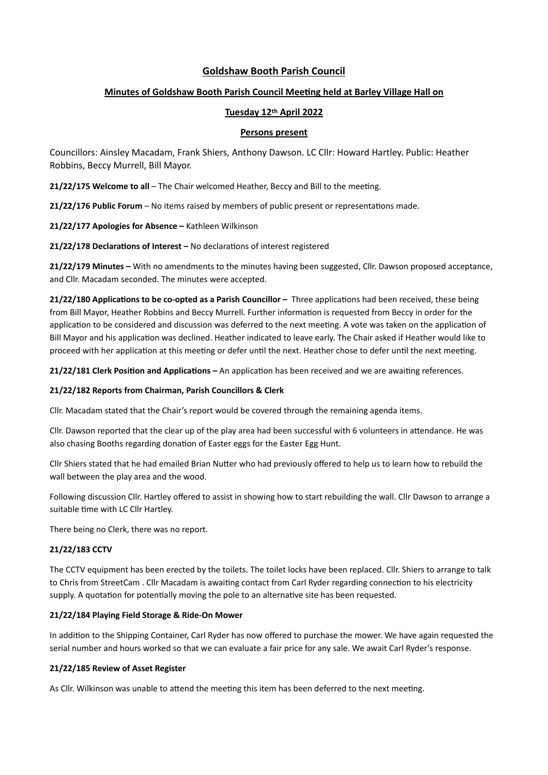# **Goldshaw Booth Parish Council**

# **Minutes of Goldshaw Booth Parish Council Meeting held at Barley Village Hall on**

## **Tuesday 12th April 2022**

### **Persons present**

Councillors: Ainsley Macadam, Frank Shiers, Anthony Dawson. LC Cllr: Howard Hartley. Public: Heather Robbins, Beccy Murrell, Bill Mayor.

**21/22/175 Welcome to all** – The Chair welcomed Heather, Beccy and Bill to the meeting.

**21/22/176 Public Forum** – No items raised by members of public present or representations made.

**21/22/177 Apologies for Absence –** Kathleen Wilkinson

**21/22/178 Declarations of Interest –** No declarations of interest registered

**21/22/179 Minutes –** With no amendments to the minutes having been suggested, Cllr. Dawson proposed acceptance, and Cllr. Macadam seconded. The minutes were accepted.

**21/22/180 Applications to be co-opted as a Parish Councillor –** Three applications had been received, these being from Bill Mayor, Heather Robbins and Beccy Murrell. Further information is requested from Beccy in order for the application to be considered and discussion was deferred to the next meeting. A vote was taken on the application of Bill Mayor and his application was declined. Heather indicated to leave early. The Chair asked if Heather would like to proceed with her application at this meeting or defer until the next. Heather chose to defer until the next meeting.

**21/22/181 Clerk Position and Applications –** An application has been received and we are awaiting references.

## **21/22/182 Reports from Chairman, Parish Councillors & Clerk**

Cllr. Macadam stated that the Chair's report would be covered through the remaining agenda items.

Cllr. Dawson reported that the clear up of the play area had been successful with 6 volunteers in attendance. He was also chasing Booths regarding donation of Easter eggs for the Easter Egg Hunt.

Cllr Shiers stated that he had emailed Brian Nutter who had previously offered to help us to learn how to rebuild the wall between the play area and the wood.

Following discussion Cllr. Hartley offered to assist in showing how to start rebuilding the wall. Cllr Dawson to arrange a suitable time with LC Cllr Hartley.

There being no Clerk, there was no report.

## **21/22/183 CCTV**

The CCTV equipment has been erected by the toilets. The toilet locks have been replaced. Cllr. Shiers to arrange to talk to Chris from StreetCam . Cllr Macadam is awaiting contact from Carl Ryder regarding connection to his electricity supply. A quotation for potentially moving the pole to an alternative site has been requested.

## **21/22/184 Playing Field Storage & Ride-On Mower**

In addition to the Shipping Container, Carl Ryder has now offered to purchase the mower. We have again requested the serial number and hours worked so that we can evaluate a fair price for any sale. We await Carl Ryder's response.

### **21/22/185 Review of Asset Register**

As Cllr. Wilkinson was unable to attend the meeting this item has been deferred to the next meeting.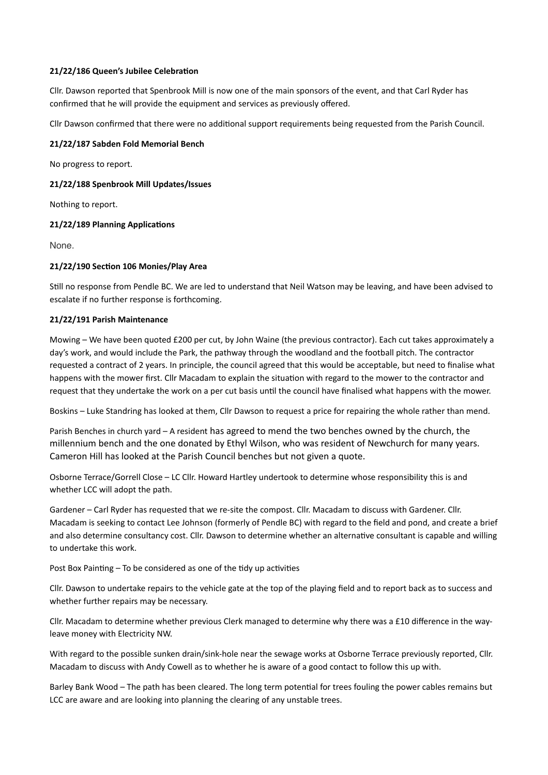### **21/22/186 Queen's Jubilee Celebration**

Cllr. Dawson reported that Spenbrook Mill is now one of the main sponsors of the event, and that Carl Ryder has confirmed that he will provide the equipment and services as previously offered.

Cllr Dawson confirmed that there were no additional support requirements being requested from the Parish Council.

### **21/22/187 Sabden Fold Memorial Bench**

No progress to report.

### **21/22/188 Spenbrook Mill Updates/Issues**

Nothing to report.

### **21/22/189 Planning Applications**

None.

### **21/22/190 Section 106 Monies/Play Area**

Still no response from Pendle BC. We are led to understand that Neil Watson may be leaving, and have been advised to escalate if no further response is forthcoming.

#### **21/22/191 Parish Maintenance**

Mowing – We have been quoted £200 per cut, by John Waine (the previous contractor). Each cut takes approximately a day's work, and would include the Park, the pathway through the woodland and the football pitch. The contractor requested a contract of 2 years. In principle, the council agreed that this would be acceptable, but need to finalise what happens with the mower first. Cllr Macadam to explain the situation with regard to the mower to the contractor and request that they undertake the work on a per cut basis until the council have finalised what happens with the mower.

Boskins – Luke Standring has looked at them, Cllr Dawson to request a price for repairing the whole rather than mend.

Parish Benches in church yard – A resident has agreed to mend the two benches owned by the church, the millennium bench and the one donated by Ethyl Wilson, who was resident of Newchurch for many years. Cameron Hill has looked at the Parish Council benches but not given a quote.

Osborne Terrace/Gorrell Close – LC Cllr. Howard Hartley undertook to determine whose responsibility this is and whether LCC will adopt the path.

Gardener – Carl Ryder has requested that we re-site the compost. Cllr. Macadam to discuss with Gardener. Cllr. Macadam is seeking to contact Lee Johnson (formerly of Pendle BC) with regard to the field and pond, and create a brief and also determine consultancy cost. Cllr. Dawson to determine whether an alternative consultant is capable and willing to undertake this work.

Post Box Painting – To be considered as one of the tidy up activities

Cllr. Dawson to undertake repairs to the vehicle gate at the top of the playing field and to report back as to success and whether further repairs may be necessary.

Cllr. Macadam to determine whether previous Clerk managed to determine why there was a £10 difference in the wayleave money with Electricity NW.

With regard to the possible sunken drain/sink-hole near the sewage works at Osborne Terrace previously reported, Cllr. Macadam to discuss with Andy Cowell as to whether he is aware of a good contact to follow this up with.

Barley Bank Wood – The path has been cleared. The long term potential for trees fouling the power cables remains but LCC are aware and are looking into planning the clearing of any unstable trees.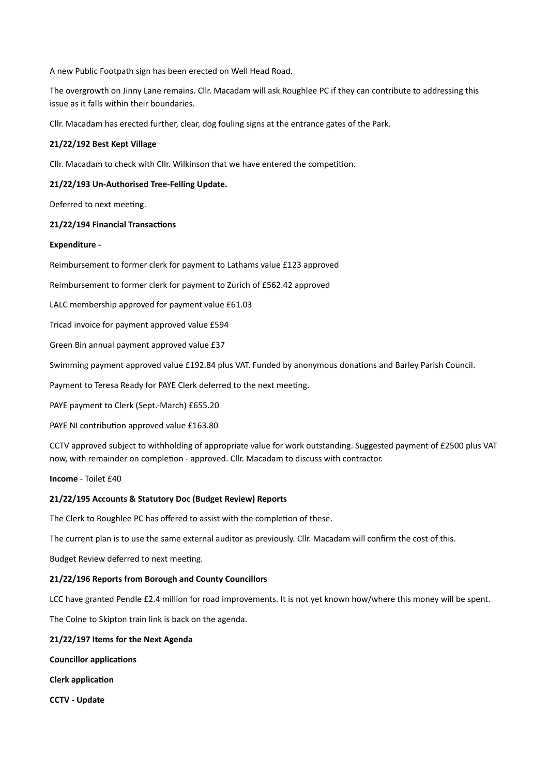A new Public Footpath sign has been erected on Well Head Road.

The overgrowth on Jinny Lane remains. Cllr. Macadam will ask Roughlee PC if they can contribute to addressing this issue as it falls within their boundaries.

Cllr. Macadam has erected further, clear, dog fouling signs at the entrance gates of the Park.

### **21/22/192 Best Kept Village**

Cllr. Macadam to check with Cllr. Wilkinson that we have entered the competition.

### **21/22/193 Un-Authorised Tree-Felling Update.**

Deferred to next meeting.

#### **21/22/194 Financial Transactions**

#### **Expenditure -**

Reimbursement to former clerk for payment to Lathams value £123 approved

Reimbursement to former clerk for payment to Zurich of £562.42 approved

LALC membership approved for payment value £61.03

Tricad invoice for payment approved value £594

Green Bin annual payment approved value £37

Swimming payment approved value £192.84 plus VAT. Funded by anonymous donations and Barley Parish Council.

Payment to Teresa Ready for PAYE Clerk deferred to the next meeting.

PAYE payment to Clerk (Sept.-March) £655.20

PAYE NI contribution approved value £163.80

CCTV approved subject to withholding of appropriate value for work outstanding. Suggested payment of £2500 plus VAT now, with remainder on completion - approved. Cllr. Macadam to discuss with contractor.

**Income** - Toilet £40

#### **21/22/195 Accounts & Statutory Doc (Budget Review) Reports**

The Clerk to Roughlee PC has offered to assist with the completion of these.

The current plan is to use the same external auditor as previously. Cllr. Macadam will confirm the cost of this.

Budget Review deferred to next meeting.

#### **21/22/196 Reports from Borough and County Councillors**

LCC have granted Pendle £2.4 million for road improvements. It is not yet known how/where this money will be spent.

The Colne to Skipton train link is back on the agenda.

#### **21/22/197 Items for the Next Agenda**

**Councillor applications**

**Clerk application**

**CCTV - Update**